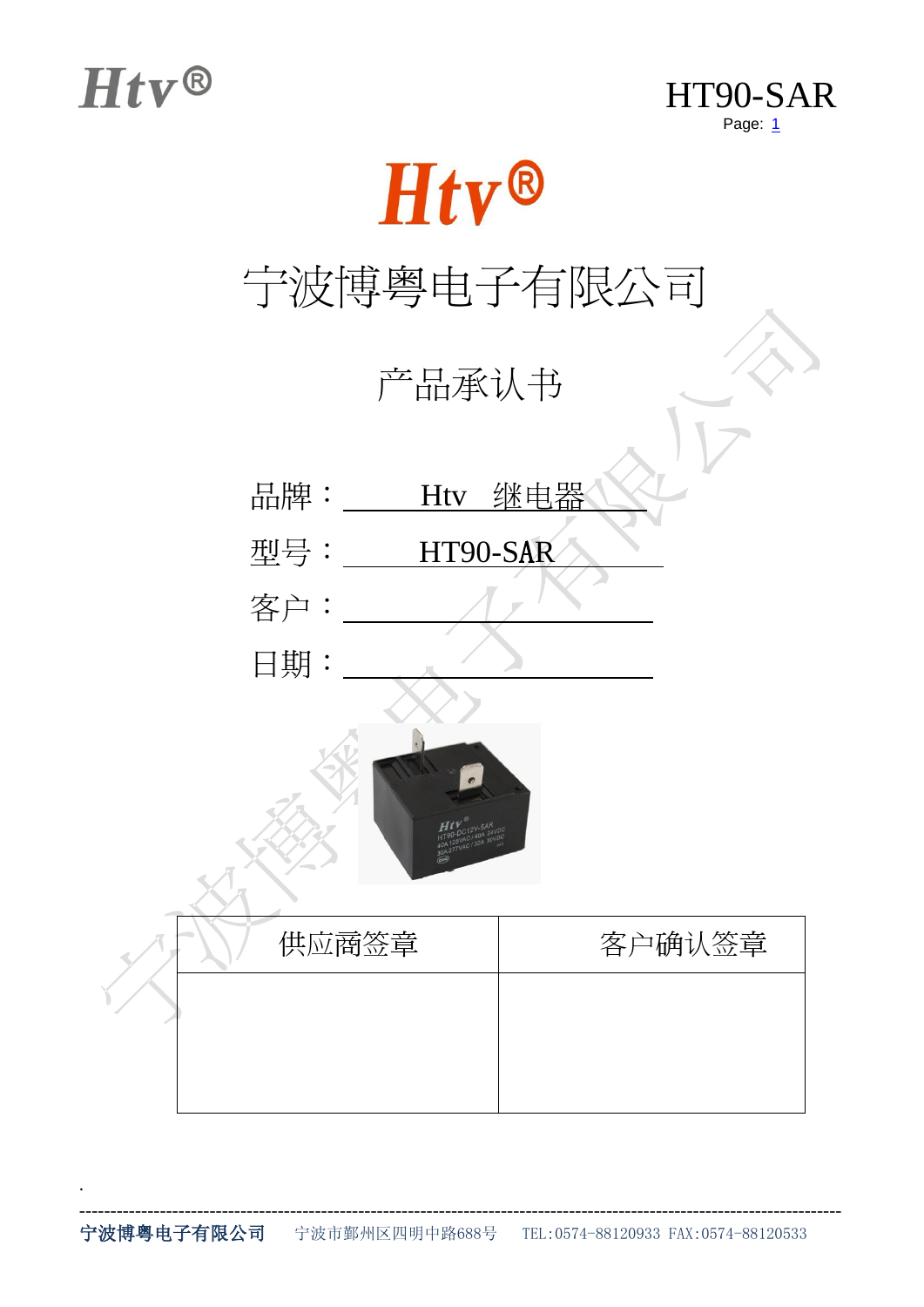.





## 宁波博粤电子有限公司

产品承认书

- 品牌: Htv 继电器
- 型号: HT90-SAR

日期:

客户:



| 供应商签章 | 客户确认签章 |
|-------|--------|
|       |        |
|       |        |
|       |        |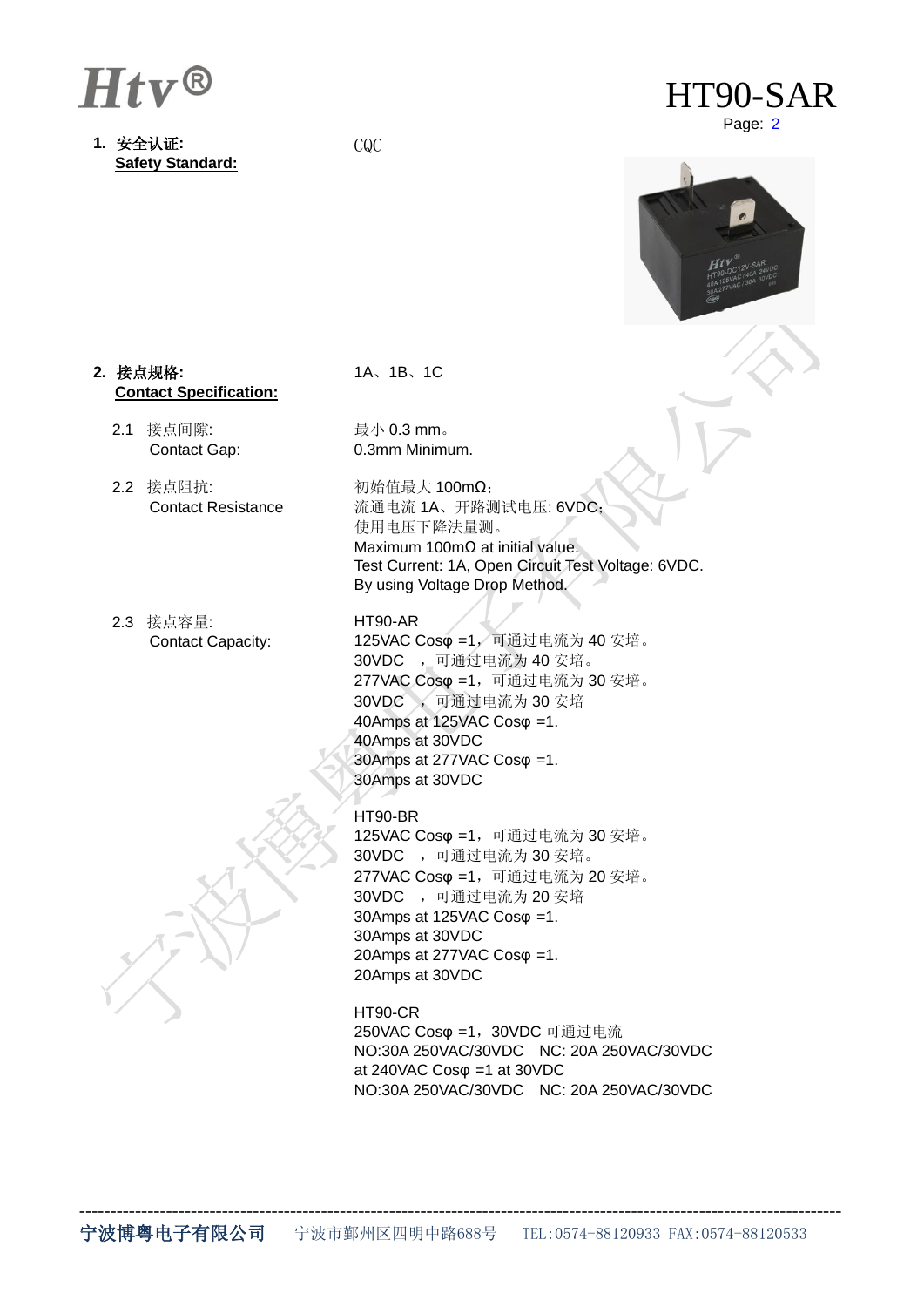

**1.** 安全认证**: Safety Standard:**

CQC



Page:  $2$ 



### **2.** 接点规格**: Contact Specification:**

- 2.1 接点间隙: Contact Gap:
- 2.2 接点阻抗: Contact Resistance
- 2.3 接点容量: Contact Capacity:

1A、1B、1C

最小 0.3 mm。 0.3mm Minimum.

初始值最大 100mΩ; 流通电流 1A、开路测试电压: 6VDC; 使用电压下降法量测。 Maximum 100mΩ at initial value. Test Current: 1A, Open Circuit Test Voltage: 6VDC. By using Voltage Drop Method.

### HT90-AR

125VAC Cosφ =1,可通过电流为 40 安培。 30VDC ,可通过电流为 40 安培。 277VAC Cosφ =1,可通过电流为 30 安培。 30VDC ,可通过电流为 30 安培 40Amps at 125VAC Cosφ =1. 40Amps at 30VDC 30Amps at 277VAC Cosφ =1. 30Amps at 30VDC

### HT90-BR

125VAC Cosφ =1,可通过电流为 30 安培。 30VDC ,可通过电流为 30 安培。 277VAC Cosφ =1,可通过电流为 20 安培。 30VDC ,可通过电流为 20 安培 30Amps at 125VAC Cosφ =1. 30Amps at 30VDC 20Amps at 277VAC Cosφ =1. 20Amps at 30VDC

### HT90-CR

250VAC Cosφ =1,30VDC 可通过电流 NO:30A 250VAC/30VDC NC: 20A 250VAC/30VDC at 240VAC Cosφ =1 at 30VDC NO:30A 250VAC/30VDC NC: 20A 250VAC/30VDC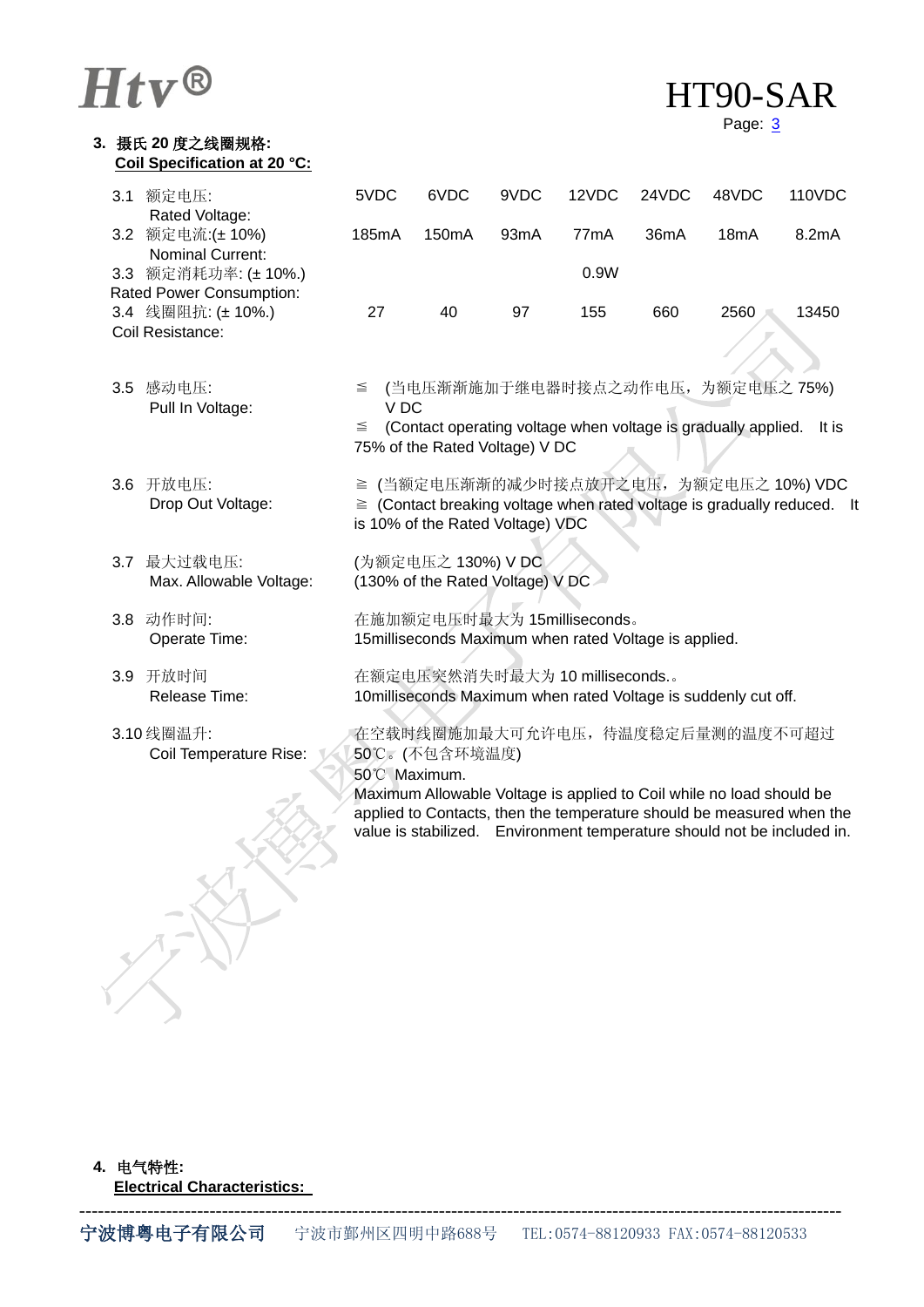**3.** 摄氏 **20** 度之线圈规格**:**

| HT90-SAR |
|----------|
|          |

Page: 3

| Coil Specification at 20 °C:                   |                                                                                                                                                           |                                |      |                   |       |                                                                                                                                                                                                                          |        |
|------------------------------------------------|-----------------------------------------------------------------------------------------------------------------------------------------------------------|--------------------------------|------|-------------------|-------|--------------------------------------------------------------------------------------------------------------------------------------------------------------------------------------------------------------------------|--------|
| 3.1 额定电压:<br>Rated Voltage:                    | 5VDC                                                                                                                                                      | 6VDC                           | 9VDC | 12VDC             | 24VDC | 48VDC                                                                                                                                                                                                                    | 110VDC |
| 3.2 额定电流:(±10%)<br>Nominal Current:            | 185mA                                                                                                                                                     | 150mA                          | 93mA | 77 <sub>m</sub> A | 36mA  | 18mA                                                                                                                                                                                                                     | 8.2mA  |
| 3.3 额定消耗功率: (± 10%.)                           |                                                                                                                                                           |                                |      | 0.9W              |       |                                                                                                                                                                                                                          |        |
| Rated Power Consumption:<br>3.4 线圈阻抗: (± 10%.) | 27                                                                                                                                                        | 40                             | 97   | 155               | 660   | 2560                                                                                                                                                                                                                     | 13450  |
| Coil Resistance:                               |                                                                                                                                                           |                                |      |                   |       |                                                                                                                                                                                                                          |        |
| 3.5 感动电压:<br>Pull In Voltage:                  | $\leq$<br>VDC                                                                                                                                             |                                |      |                   |       | (当电压渐渐施加于继电器时接点之动作电压, 为额定电压之75%)                                                                                                                                                                                         |        |
|                                                | $\leq$                                                                                                                                                    | 75% of the Rated Voltage) V DC |      |                   |       | (Contact operating voltage when voltage is gradually applied.                                                                                                                                                            | It is  |
| 3.6 开放电压:<br>Drop Out Voltage:                 | ≧ (当额定电压渐渐的减少时接点放开之电压, 为额定电压之 10%) VDC<br>$\ge$ (Contact breaking voltage when rated voltage is gradually reduced. It<br>is 10% of the Rated Voltage) VDC |                                |      |                   |       |                                                                                                                                                                                                                          |        |
| 3.7 最大过载电压:<br>Max. Allowable Voltage:         | (为额定电压之 130%) V DC<br>(130% of the Rated Voltage) V DC                                                                                                    |                                |      |                   |       |                                                                                                                                                                                                                          |        |
| 3.8 动作时间:<br>Operate Time:                     | 在施加额定电压时最大为 15milliseconds。<br>15 milliseconds Maximum when rated Voltage is applied.                                                                     |                                |      |                   |       |                                                                                                                                                                                                                          |        |
| 3.9 开放时间<br>Release Time:                      | 在额定电压突然消失时最大为 10 milliseconds.。<br>10milliseconds Maximum when rated Voltage is suddenly cut off.                                                         |                                |      |                   |       |                                                                                                                                                                                                                          |        |
| 3.10线圈温升:<br>Coil Temperature Rise:            | 50°C Maximum.                                                                                                                                             | 50℃。(不包含环境温度)                  |      |                   |       | 在空载时线圈施加最大可允许电压, 待温度稳定后量测的温度不可超过                                                                                                                                                                                         |        |
|                                                |                                                                                                                                                           |                                |      |                   |       | Maximum Allowable Voltage is applied to Coil while no load should be<br>applied to Contacts, then the temperature should be measured when the<br>value is stabilized. Environment temperature should not be included in. |        |
|                                                |                                                                                                                                                           |                                |      |                   |       |                                                                                                                                                                                                                          |        |

**4.** 电气特性**:**

**Electrical Characteristics:** 

 $\bigvee$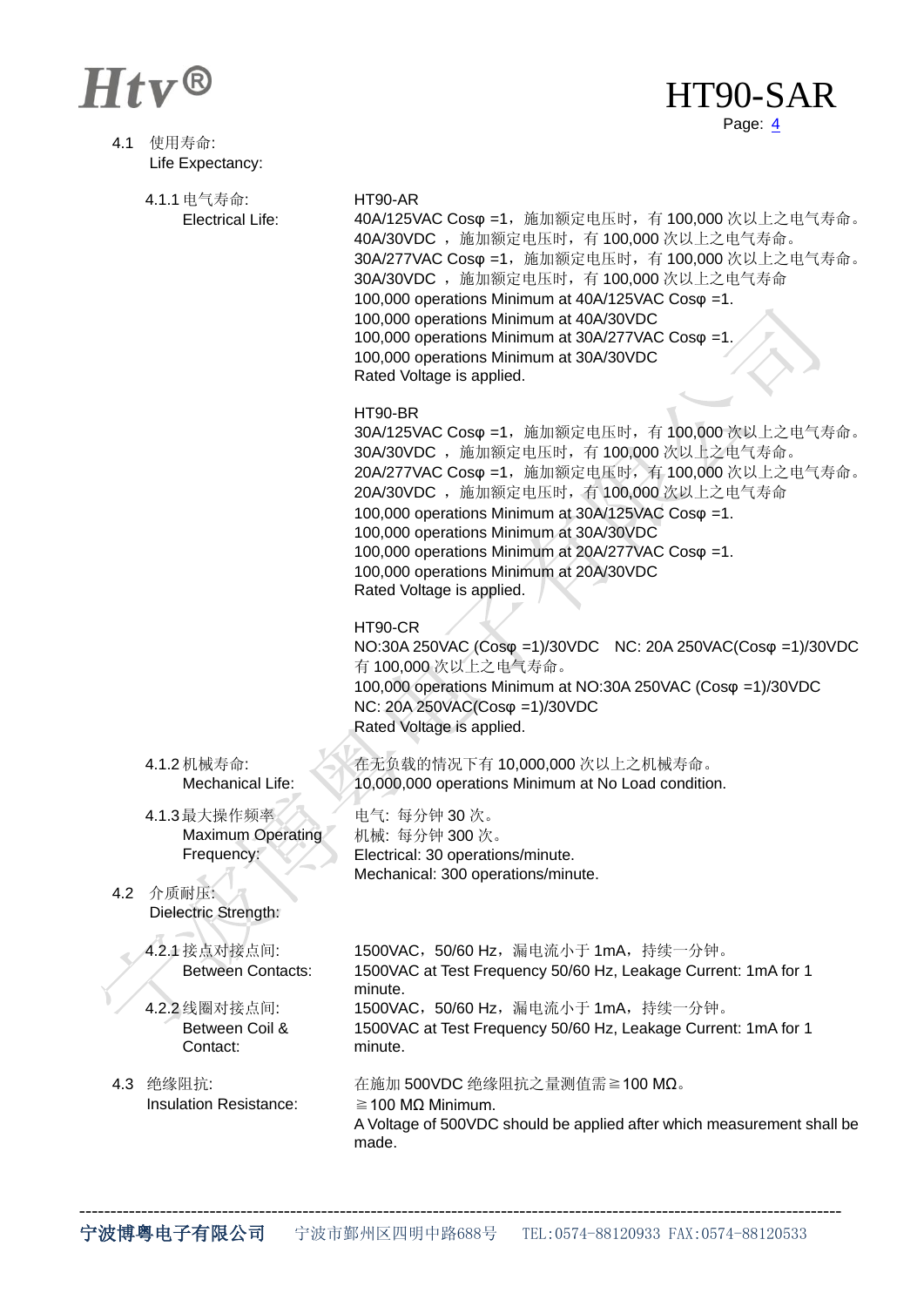Y

## Htv® HT90-SAR Page:  $\frac{4}{5}$

| 4.1 | 使用寿命:<br>Life Expectancy:                                                                |                                                                                                                                                                                                                                                                                                                                                                                                                                                      |
|-----|------------------------------------------------------------------------------------------|------------------------------------------------------------------------------------------------------------------------------------------------------------------------------------------------------------------------------------------------------------------------------------------------------------------------------------------------------------------------------------------------------------------------------------------------------|
|     | 4.1.1 电气寿命:<br><b>Electrical Life:</b>                                                   | HT90-AR<br>40A/125VAC Cosφ =1, 施加额定电压时, 有 100,000 次以上之电气寿命。<br>40A/30VDC, 施加额定电压时, 有 100,000 次以上之电气寿命。<br>30A/277VAC Cosφ =1, 施加额定电压时, 有 100,000 次以上之电气寿命。<br>30A/30VDC , 施加额定电压时, 有 100,000 次以上之电气寿命<br>100,000 operations Minimum at 40A/125VAC Cos $\varphi$ =1.<br>100,000 operations Minimum at 40A/30VDC<br>100,000 operations Minimum at 30A/277VAC Cos $\varphi$ =1.<br>100,000 operations Minimum at 30A/30VDC<br>Rated Voltage is applied. |
|     |                                                                                          | HT90-BR<br>30A/125VAC Cosφ =1, 施加额定电压时, 有 100,000 次以上之电气寿命。<br>30A/30VDC, 施加额定电压时, 有 100,000 次以上之电气寿命。<br>20A/277VAC Cosφ =1, 施加额定电压时, 有 100,000 次以上之电气寿命。<br>20A/30VDC , 施加额定电压时, 有 100,000 次以上之电气寿命<br>100,000 operations Minimum at 30A/125VAC Cos $\varphi$ =1.<br>100,000 operations Minimum at 30A/30VDC<br>100,000 operations Minimum at 20A/277VAC Cos $\varphi$ =1.<br>100,000 operations Minimum at 20A/30VDC<br>Rated Voltage is applied. |
|     |                                                                                          | HT90-CR<br>NO:30A 250VAC (Cosφ =1)/30VDC NC: 20A 250VAC(Cosφ =1)/30VDC<br>有 100,000 次以上之电气寿命。<br>100,000 operations Minimum at NO:30A 250VAC (Cosφ =1)/30VDC<br>NC: 20Α 250VAC(Cosφ =1)/30VDC<br>Rated Voltage is applied.                                                                                                                                                                                                                           |
|     | 4.1.2 机械寿命:<br>Mechanical Life:                                                          | 在无负载的情况下有 10,000,000 次以上之机械寿命。<br>10,000,000 operations Minimum at No Load condition.                                                                                                                                                                                                                                                                                                                                                                |
| 4.2 | 4.1.3最大操作频率<br><b>Maximum Operating</b><br>Frequency:<br>介质耐压:<br>Dielectric Strength:   | 电气: 每分钟 30 次。<br>机械: 每分钟 300次。<br>Electrical: 30 operations/minute.<br>Mechanical: 300 operations/minute.                                                                                                                                                                                                                                                                                                                                            |
|     | 4.2.1 接点对接点间:<br><b>Between Contacts:</b><br>4.2.2 线圈对接点间:<br>Between Coil &<br>Contact: | 1500VAC,50/60 Hz,漏电流小于 1mA,持续一分钟。<br>1500VAC at Test Frequency 50/60 Hz, Leakage Current: 1mA for 1<br>minute.<br>1500VAC, 50/60 Hz, 漏电流小于 1mA, 持续一分钟。<br>1500VAC at Test Frequency 50/60 Hz, Leakage Current: 1mA for 1<br>minute.                                                                                                                                                                                                                  |
| 4.3 | 绝缘阻抗:<br><b>Insulation Resistance:</b>                                                   | 在施加 500VDC 绝缘阻抗之量测值需≧100 MΩ。<br>$\geq$ 100 MQ Minimum.<br>A Voltage of 500VDC should be applied after which measurement shall be<br>made.                                                                                                                                                                                                                                                                                                            |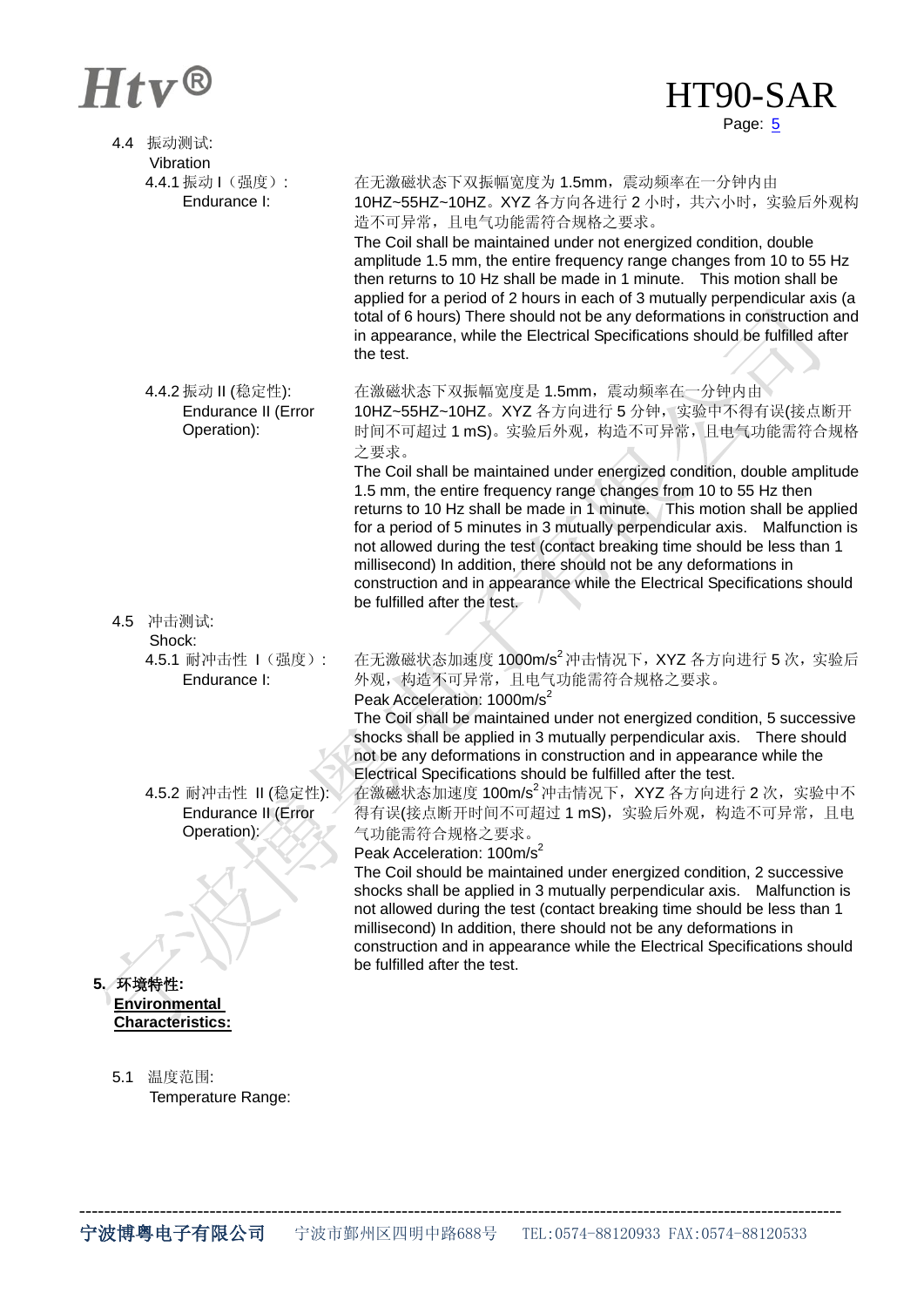## $Htv^@$  HT90-SAR

# Page: 5

|     | 4.4 振动测试:                               |                                                                                                                                                           |
|-----|-----------------------------------------|-----------------------------------------------------------------------------------------------------------------------------------------------------------|
|     | Vibration                               |                                                                                                                                                           |
|     | 4.4.1 振动   (强度):                        | 在无激磁状态下双振幅宽度为 1.5mm, 震动频率在一分钟内由                                                                                                                           |
|     | Endurance I:                            | 10HZ~55HZ~10HZ。XYZ 各方向各进行 2 小时, 共六小时, 实验后外观构<br>造不可异常,且电气功能需符合规格之要求。                                                                                      |
|     |                                         | The Coil shall be maintained under not energized condition, double                                                                                        |
|     |                                         | amplitude 1.5 mm, the entire frequency range changes from 10 to 55 Hz                                                                                     |
|     |                                         | then returns to 10 Hz shall be made in 1 minute. This motion shall be                                                                                     |
|     |                                         | applied for a period of 2 hours in each of 3 mutually perpendicular axis (a<br>total of 6 hours) There should not be any deformations in construction and |
|     |                                         | in appearance, while the Electrical Specifications should be fulfilled after                                                                              |
|     |                                         | the test.                                                                                                                                                 |
|     |                                         |                                                                                                                                                           |
|     | 4.4.2 振动Ⅱ (稳定性):<br>Endurance II (Error | 在激磁状态下双振幅宽度是 1.5mm, 震动频率在一分钟内由<br>10HZ~55HZ~10HZ。XYZ 各方向进行 5 分钟, 实验中不得有误(接点断开                                                                             |
|     | Operation):                             | 时间不可超过1mS)。实验后外观, 构造不可异常, 且电气功能需符合规格                                                                                                                      |
|     |                                         | 之要求。                                                                                                                                                      |
|     |                                         | The Coil shall be maintained under energized condition, double amplitude                                                                                  |
|     |                                         | 1.5 mm, the entire frequency range changes from 10 to 55 Hz then<br>returns to 10 Hz shall be made in 1 minute. This motion shall be applied              |
|     |                                         | for a period of 5 minutes in 3 mutually perpendicular axis. Malfunction is                                                                                |
|     |                                         | not allowed during the test (contact breaking time should be less than 1                                                                                  |
|     |                                         | millisecond) In addition, there should not be any deformations in                                                                                         |
|     |                                         | construction and in appearance while the Electrical Specifications should<br>be fulfilled after the test.                                                 |
| 4.5 | 冲击测试:                                   |                                                                                                                                                           |
|     | Shock:                                  |                                                                                                                                                           |
|     | 4.5.1 耐冲击性   (强度):<br>Endurance I:      | 在无激磁状态加速度 1000m/s2 冲击情况下, XYZ 各方向进行 5 次, 实验后<br>外观, 构造不可异常, 且电气功能需符合规格之要求。                                                                                |
|     |                                         | Peak Acceleration: 1000m/s <sup>2</sup>                                                                                                                   |
|     |                                         | The Coil shall be maintained under not energized condition, 5 successive<br>shocks shall be applied in 3 mutually perpendicular axis.  There should       |
|     |                                         | not be any deformations in construction and in appearance while the                                                                                       |
|     |                                         | Electrical Specifications should be fulfilled after the test.                                                                                             |
|     | 4.5.2 耐冲击性 Ⅱ (稳定性):                     | 在激磁状态加速度 100m/s <sup>2</sup> 冲击情况下, XYZ 各方向进行 2 次, 实验中不                                                                                                   |
|     | Endurance II (Error<br>Operation):      | 得有误(接点断开时间不可超过 1 mS),实验后外观,构造不可异常,且电<br>气功能需符合规格之要求。                                                                                                      |
|     |                                         | Peak Acceleration: 100m/s <sup>2</sup>                                                                                                                    |
|     |                                         | The Coil should be maintained under energized condition, 2 successive                                                                                     |
|     |                                         | shocks shall be applied in 3 mutually perpendicular axis.<br>Malfunction is<br>not allowed during the test (contact breaking time should be less than 1   |
|     |                                         | millisecond) In addition, there should not be any deformations in                                                                                         |
|     |                                         | construction and in appearance while the Electrical Specifications should                                                                                 |
|     | 5. 环境特性:                                | be fulfilled after the test.                                                                                                                              |
|     | <b>Environmental</b>                    |                                                                                                                                                           |
|     | <b>Characteristics:</b>                 |                                                                                                                                                           |
|     |                                         |                                                                                                                                                           |
| 5.1 | 温度范围:                                   |                                                                                                                                                           |
|     | Temperature Range:                      |                                                                                                                                                           |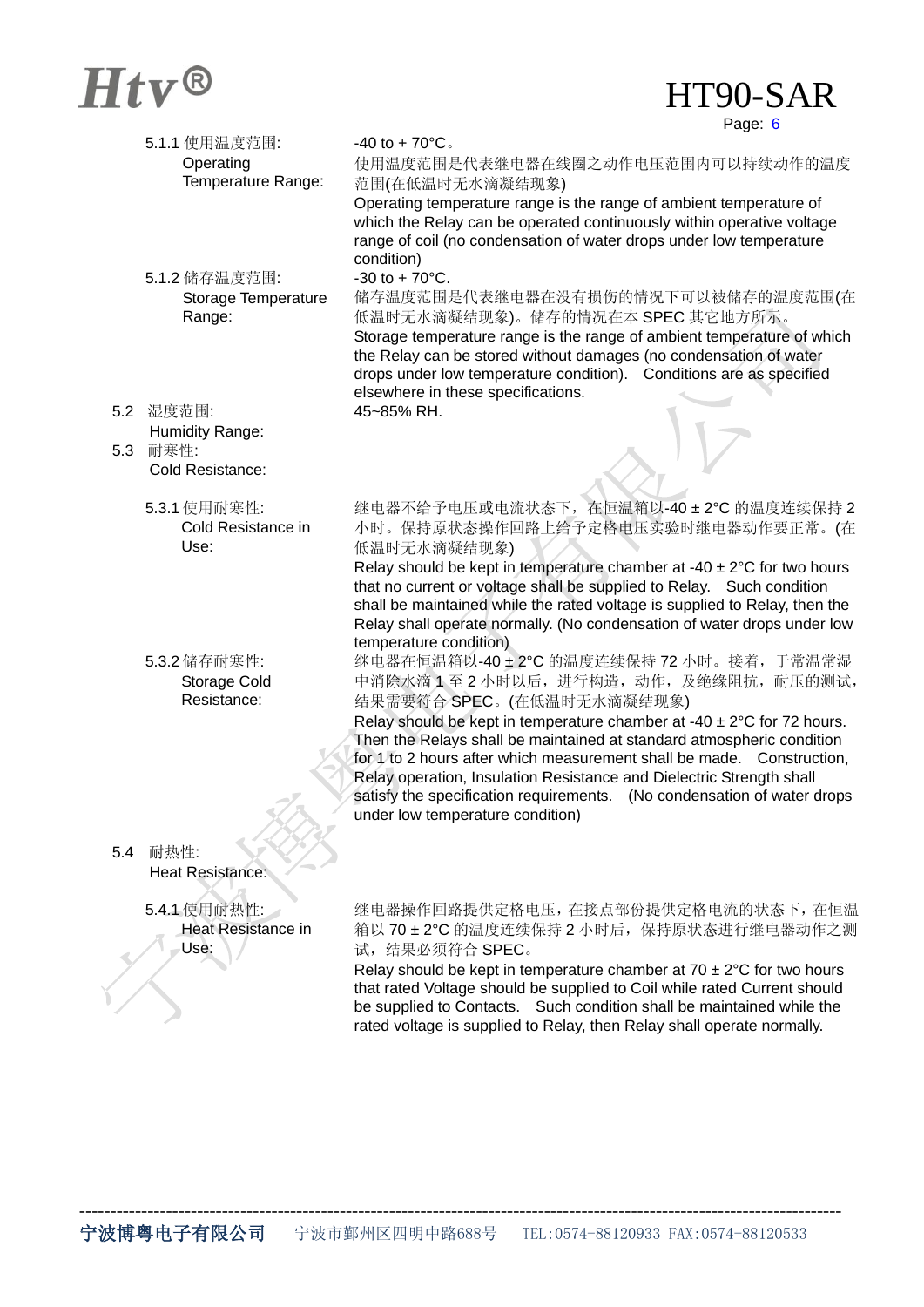## $Htv^@$  HT90-SAR

Page: 6

|     | 5.1.1 使用温度范围:               | $-40$ to $+70^{\circ}$ C.                                                                                                                             |
|-----|-----------------------------|-------------------------------------------------------------------------------------------------------------------------------------------------------|
|     | Operating                   | 使用温度范围是代表继电器在线圈之动作电压范围内可以持续动作的温度                                                                                                                      |
|     | Temperature Range:          | 范围(在低温时无水滴凝结现象)                                                                                                                                       |
|     |                             | Operating temperature range is the range of ambient temperature of                                                                                    |
|     |                             | which the Relay can be operated continuously within operative voltage                                                                                 |
|     |                             | range of coil (no condensation of water drops under low temperature                                                                                   |
|     |                             | condition)                                                                                                                                            |
|     | 5.1.2 储存温度范围:               | $-30$ to $+70^{\circ}$ C.                                                                                                                             |
|     | Storage Temperature         | 储存温度范围是代表继电器在没有损伤的情况下可以被储存的温度范围(在                                                                                                                     |
|     | Range:                      | 低温时无水滴凝结现象)。储存的情况在本 SPEC 其它地方所示。                                                                                                                      |
|     |                             | Storage temperature range is the range of ambient temperature of which                                                                                |
|     |                             | the Relay can be stored without damages (no condensation of water                                                                                     |
|     |                             | drops under low temperature condition). Conditions are as specified                                                                                   |
|     |                             | elsewhere in these specifications.                                                                                                                    |
| 5.2 | 湿度范围:                       | 45~85% RH.                                                                                                                                            |
|     | Humidity Range:             |                                                                                                                                                       |
| 5.3 | 耐寒性:                        |                                                                                                                                                       |
|     | Cold Resistance:            |                                                                                                                                                       |
|     |                             |                                                                                                                                                       |
|     | 5.3.1 使用耐寒性:                | 继电器不给予电压或电流状态下, 在恒温箱以-40±2℃的温度连续保持2                                                                                                                   |
|     | Cold Resistance in          |                                                                                                                                                       |
|     | Use:                        | 小时。保持原状态操作回路上给予定格电压实验时继电器动作要正常。(在                                                                                                                     |
|     |                             | 低温时无水滴凝结现象)                                                                                                                                           |
|     |                             | Relay should be kept in temperature chamber at -40 $\pm$ 2°C for two hours                                                                            |
|     |                             | that no current or voltage shall be supplied to Relay. Such condition                                                                                 |
|     |                             | shall be maintained while the rated voltage is supplied to Relay, then the                                                                            |
|     |                             | Relay shall operate normally. (No condensation of water drops under low<br>temperature condition)                                                     |
|     | 5.3.2 储存耐寒性:                | 继电器在恒温箱以-40±2℃ 的温度连续保持 72 小时。接着, 于常温常湿                                                                                                                |
|     |                             |                                                                                                                                                       |
|     | Storage Cold<br>Resistance: | 中消除水滴 1至2小时以后,进行构造,动作,及绝缘阻抗, 耐压的测试,                                                                                                                   |
|     |                             | 结果需要符合 SPEC。(在低温时无水滴凝结现象)                                                                                                                             |
|     |                             | Relay should be kept in temperature chamber at -40 $\pm$ 2°C for 72 hours.                                                                            |
|     |                             | Then the Relays shall be maintained at standard atmospheric condition                                                                                 |
|     |                             | for 1 to 2 hours after which measurement shall be made. Construction,                                                                                 |
|     |                             | Relay operation, Insulation Resistance and Dielectric Strength shall<br>satisfy the specification requirements.<br>(No condensation of water drops    |
|     |                             | under low temperature condition)                                                                                                                      |
|     |                             |                                                                                                                                                       |
| 5.4 | 耐热性:                        |                                                                                                                                                       |
|     | Heat Resistance:            |                                                                                                                                                       |
|     |                             |                                                                                                                                                       |
|     | 5.4.1 使用耐热性:                | 继电器操作回路提供定格电压, 在接点部份提供定格电流的状态下, 在恒温                                                                                                                   |
|     | <b>Heat Resistance in</b>   | 箱以 70±2℃ 的温度连续保持 2 小时后, 保持原状态进行继电器动作之测                                                                                                                |
|     | Usē:                        | 试, 结果必须符合 SPEC。                                                                                                                                       |
|     |                             |                                                                                                                                                       |
|     |                             | Relay should be kept in temperature chamber at 70 $\pm$ 2°C for two hours<br>that rated Voltage should be supplied to Coil while rated Current should |
|     |                             |                                                                                                                                                       |
|     |                             |                                                                                                                                                       |
|     |                             | be supplied to Contacts. Such condition shall be maintained while the<br>rated voltage is supplied to Relay, then Relay shall operate normally.       |

---------------------------------------------------------------------------------------------------------------------------

rated voltage is supplied to Relay, then Relay shall operate normally.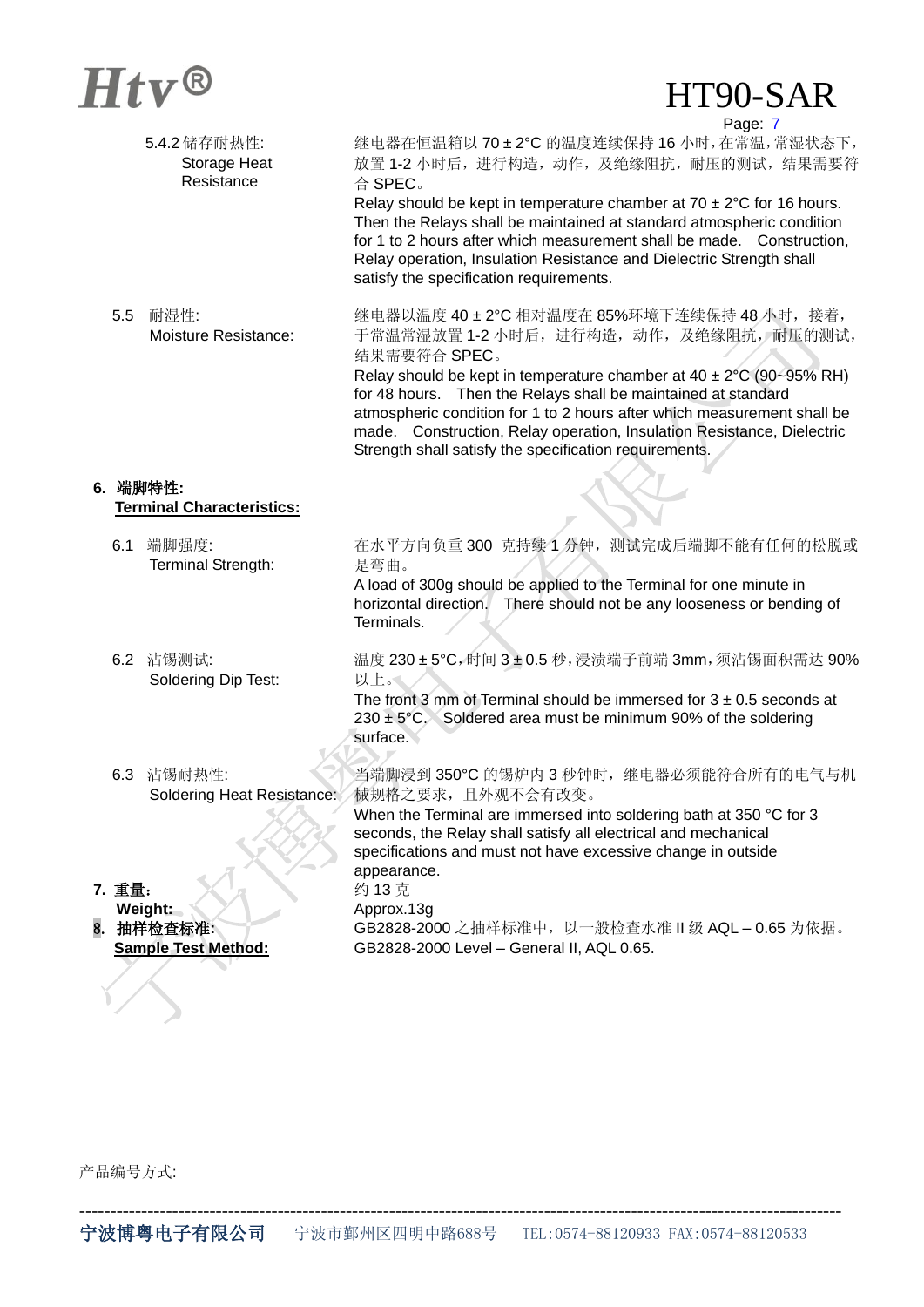## $Htv^@$  HT90-SAR

Page: 7

| 继电器在恒温箱以 70±2℃ 的温度连续保持 16 小时, 在常温, 常湿状态下,<br>放置 1-2 小时后, 进行构造, 动作, 及绝缘阻抗, 耐压的测试, 结果需要符<br>合 SPEC。<br>Relay should be kept in temperature chamber at $70 \pm 2^{\circ}$ C for 16 hours.<br>Then the Relays shall be maintained at standard atmospheric condition<br>for 1 to 2 hours after which measurement shall be made. Construction,<br>Relay operation, Insulation Resistance and Dielectric Strength shall<br>satisfy the specification requirements.             |
|-------------------------------------------------------------------------------------------------------------------------------------------------------------------------------------------------------------------------------------------------------------------------------------------------------------------------------------------------------------------------------------------------------------------------------------------------------------------------|
| 继电器以温度 40±2℃ 相对温度在 85%环境下连续保持 48 小时, 接着,<br>于常温常湿放置 1-2 小时后, 进行构造, 动作, 及绝缘阻抗, 耐压的测试,<br>结果需要符合 SPEC。<br>Relay should be kept in temperature chamber at $40 \pm 2^{\circ}$ C (90~95% RH)<br>for 48 hours. Then the Relays shall be maintained at standard<br>atmospheric condition for 1 to 2 hours after which measurement shall be<br>made. Construction, Relay operation, Insulation Resistance, Dielectric<br>Strength shall satisfy the specification requirements. |
|                                                                                                                                                                                                                                                                                                                                                                                                                                                                         |
| 在水平方向负重 300 克持续 1 分钟, 测试完成后端脚不能有任何的松脱或<br>是弯曲。<br>A load of 300g should be applied to the Terminal for one minute in<br>horizontal direction. There should not be any looseness or bending of<br>Terminals.                                                                                                                                                                                                                                                             |
| 温度 230±5℃,时间 3±0.5 秒, 浸渍端子前端 3mm, 须沾锡面积需达 90%<br>以上。<br>The front 3 mm of Terminal should be immersed for $3 \pm 0.5$ seconds at<br>$230 \pm 5^{\circ}$ C. Soldered area must be minimum 90% of the soldering<br>surface.                                                                                                                                                                                                                                               |
| 当端脚浸到 350℃ 的锡炉内 3 秒钟时, 继电器必须能符合所有的电气与机<br>械规格之要求,且外观不会有改变。<br>Soldering Heat Resistance:<br>When the Terminal are immersed into soldering bath at 350 °C for 3<br>seconds, the Relay shall satisfy all electrical and mechanical<br>specifications and must not have excessive change in outside                                                                                                                                                                        |
| appearance.<br>约13克<br>Approx.13g<br>GB2828-2000 之抽样标准中, 以一般检查水准 Ⅱ 级 AQL - 0.65 为依据。<br>GB2828-2000 Level - General II, AQL 0.65.                                                                                                                                                                                                                                                                                                                                       |
|                                                                                                                                                                                                                                                                                                                                                                                                                                                                         |

产品编号方式: